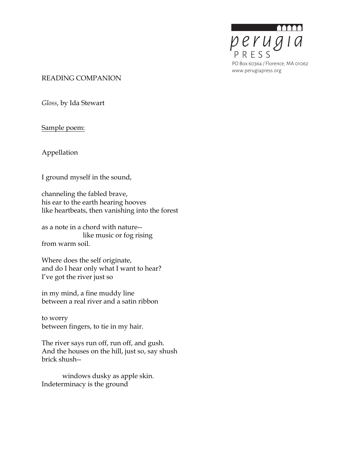

#### READING COMPANION

*Gloss*, by Ida Stewart

Sample poem:

Appellation

I ground myself in the sound,

channeling the fabled brave, his ear to the earth hearing hooves like heartbeats, then vanishing into the forest

as a note in a chord with nature- like music or fog rising from warm soil.

Where does the self originate, and do I hear only what I want to hear? I've got the river just so

in my mind, a fine muddy line between a real river and a satin ribbon

to worry between fingers, to tie in my hair.

The river says run off, run off, and gush. And the houses on the hill, just so, say shush brick shush--

windows dusky as apple skin. Indeterminacy is the ground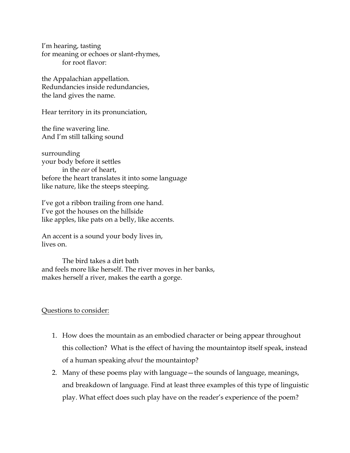I'm hearing, tasting for meaning or echoes or slant-rhymes, for root flavor:

the Appalachian appellation. Redundancies inside redundancies, the land gives the name.

Hear territory in its pronunciation,

the fine wavering line. And I'm still talking sound

surrounding your body before it settles in the *ear* of heart, before the heart translates it into some language like nature, like the steeps steeping.

I've got a ribbon trailing from one hand. I've got the houses on the hillside like apples, like pats on a belly, like accents.

An accent is a sound your body lives in, lives on.

The bird takes a dirt bath and feels more like herself. The river moves in her banks, makes herself a river, makes the earth a gorge.

# Questions to consider:

- 1. How does the mountain as an embodied character or being appear throughout this collection? What is the effect of having the mountaintop itself speak, instead of a human speaking *about* the mountaintop?
- 2. Many of these poems play with language—the sounds of language, meanings, and breakdown of language. Find at least three examples of this type of linguistic play. What effect does such play have on the reader's experience of the poem?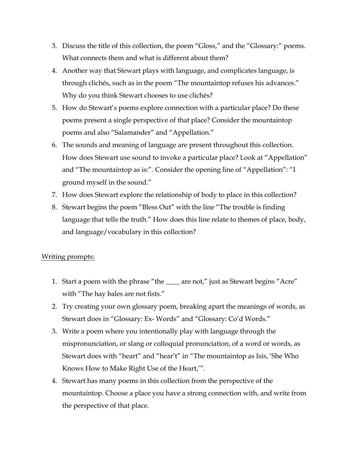- 3. Discuss the title of this collection, the poem "Gloss," and the "Glossary:" poems. What connects them and what is different about them?
- 4. Another way that Stewart plays with language, and complicates language, is through clichés, such as in the poem "The mountaintop refuses his advances." Why do you think Stewart chooses to use clichés?
- 5. How do Stewart's poems explore connection with a particular place? Do these poems present a single perspective of that place? Consider the mountaintop poems and also "Salamander" and "Appellation."
- 6. The sounds and meaning of language are present throughout this collection. How does Stewart use sound to invoke a particular place? Look at "Appellation" and "The mountaintop as is:". Consider the opening line of "Appellation": "I ground myself in the sound."
- 7. How does Stewart explore the relationship of body to place in this collection?
- 8. Stewart begins the poem "Bless Out" with the line "The trouble is finding language that tells the truth." How does this line relate to themes of place, body, and language/vocabulary in this collection?

# Writing prompts:

- 1. Start a poem with the phrase "the \_\_\_\_ are not," just as Stewart begins "Acre" with "The hay bales are not fists."
- 2. Try creating your own glossary poem, breaking apart the meanings of words, as Stewart does in "Glossary: Ex- Words" and "Glossary: Co'd Words."
- 3. Write a poem where you intentionally play with language through the mispronunciation, or slang or colloquial pronunciation, of a word or words, as Stewart does with "heart" and "hear't" in "The mountaintop as Isis, 'She Who Knows How to Make Right Use of the Heart,'".
- 4. Stewart has many poems in this collection from the perspective of the mountaintop. Choose a place you have a strong connection with, and write from the perspective of that place.